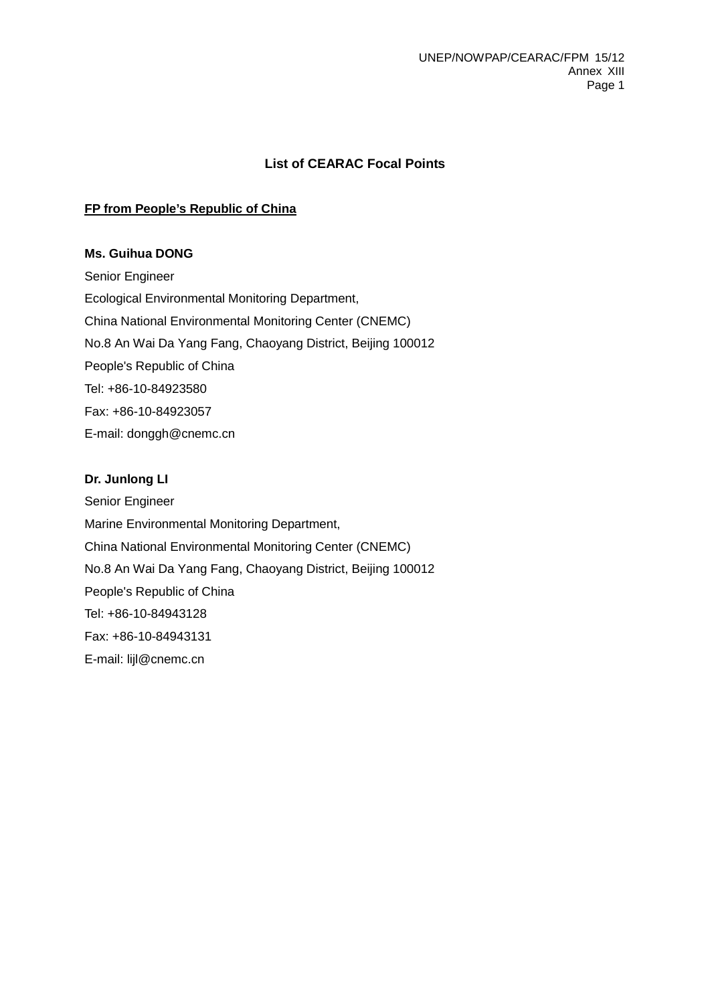# **List of CEARAC Focal Points**

# **FP from People's Republic of China**

## **Ms. Guihua DONG**

Senior Engineer Ecological Environmental Monitoring Department, China National Environmental Monitoring Center (CNEMC) No.8 An Wai Da Yang Fang, Chaoyang District, Beijing 100012 People's Republic of China Tel: +86-10-84923580 Fax: +86-10-84923057 E-mail: donggh@cnemc.cn

## **Dr. Junlong LI**

Senior Engineer Marine Environmental Monitoring Department, China National Environmental Monitoring Center (CNEMC) No.8 An Wai Da Yang Fang, Chaoyang District, Beijing 100012 People's Republic of China Tel: +86-10-84943128 Fax: +86-10-84943131 E-mail: lijl@cnemc.cn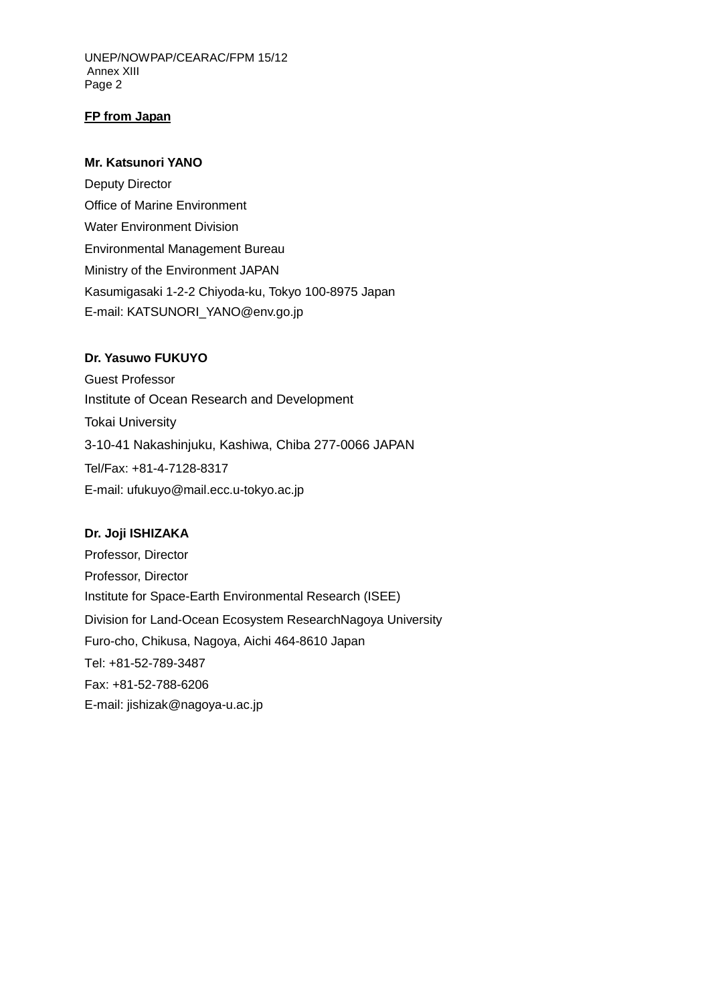UNEP/NOWPAP/CEARAC/FPM 15/12 Annex XIII Page 2

## **FP from Japan**

### **Mr. Katsunori YANO**

Deputy Director Office of Marine Environment Water Environment Division Environmental Management Bureau Ministry of the Environment JAPAN Kasumigasaki 1-2-2 Chiyoda-ku, Tokyo 100-8975 Japan E-mail: KATSUNORI\_YANO@env.go.jp

#### **Dr. Yasuwo FUKUYO**

Guest Professor Institute of Ocean Research and Development Tokai University 3-10-41 Nakashinjuku, Kashiwa, Chiba 277-0066 JAPAN Tel/Fax: +81-4-7128-8317 E-mail: ufukuyo@mail.ecc.u-tokyo.ac.jp

#### **Dr. Joji ISHIZAKA**

Professor, Director Professor, Director Institute for Space-Earth Environmental Research (ISEE) Division for Land-Ocean Ecosystem ResearchNagoya University Furo-cho, Chikusa, Nagoya, Aichi 464-8610 Japan Tel: +81-52-789-3487 Fax: +81-52-788-6206 E-mail: jishizak@nagoya-u.ac.jp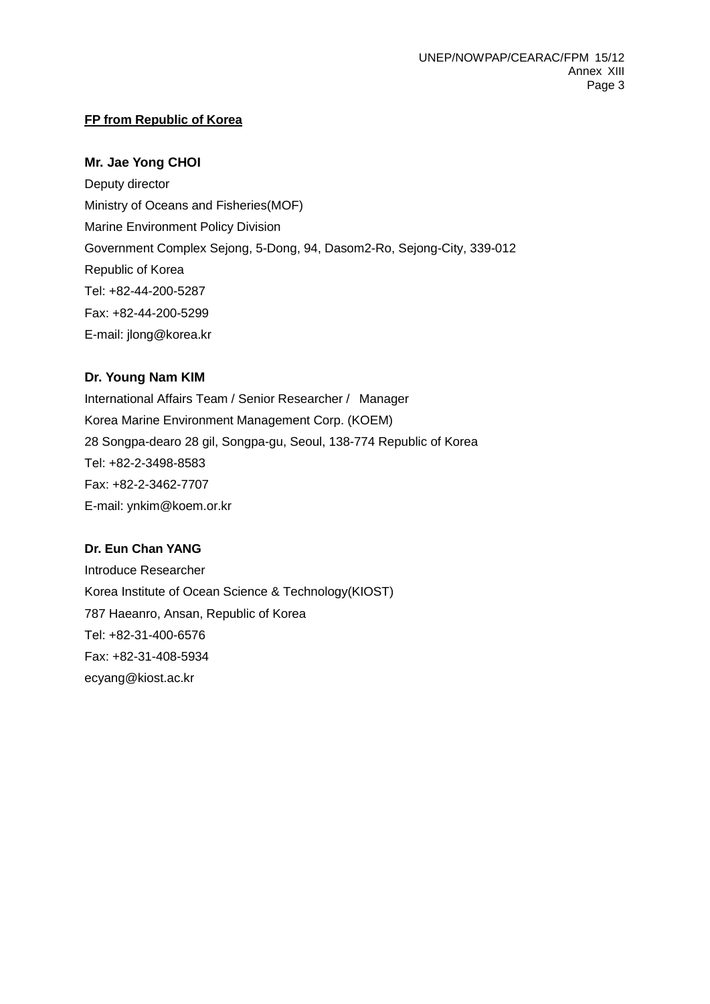# **FP from Republic of Korea**

# **Mr. Jae Yong CHOI**

Deputy director Ministry of Oceans and Fisheries(MOF) Marine Environment Policy Division Government Complex Sejong, 5-Dong, 94, Dasom2-Ro, Sejong-City, 339-012 Republic of Korea Tel: +82-44-200-5287 Fax: +82-44-200-5299 E-mail: jlong@korea.kr

# **Dr. Young Nam KIM**

International Affairs Team / Senior Researcher / Manager Korea Marine Environment Management Corp. (KOEM) 28 Songpa-dearo 28 gil, Songpa-gu, Seoul, 138-774 Republic of Korea Tel: +82-2-3498-8583 Fax: +82-2-3462-7707 E-mail: ynkim@koem.or.kr

# **Dr. Eun Chan YANG**

Introduce Researcher Korea Institute of Ocean Science & Technology(KIOST) 787 Haeanro, Ansan, Republic of Korea Tel: +82-31-400-6576 Fax: +82-31-408-5934 ecyang@kiost.ac.kr